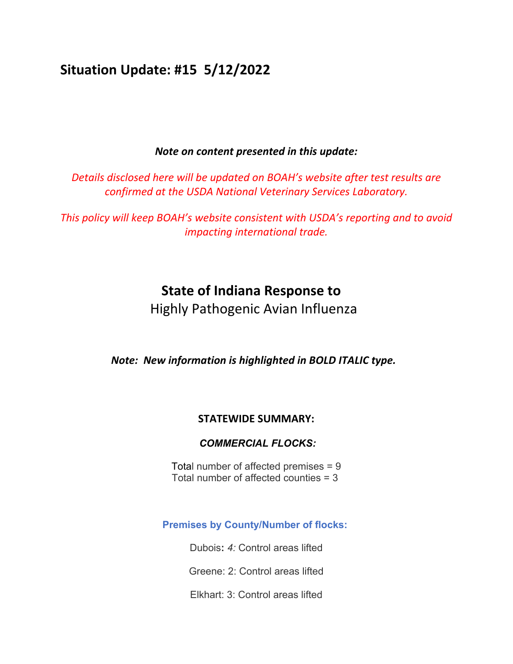# **Situation Update: #15 5/12/2022**

## *Note on content presented in this update:*

*Details disclosed here will be updated on BOAH's website after test results are confirmed at the USDA National Veterinary Services Laboratory.*

*This policy will keep BOAH's website consistent with USDA's reporting and to avoid impacting international trade.*

# **State of Indiana Response to**

Highly Pathogenic Avian Influenza

*Note: New information is highlighted in BOLD ITALIC type.*

# **STATEWIDE SUMMARY:**

## *COMMERCIAL FLOCKS:*

Total number of affected premises = 9 Total number of affected counties = 3

## **Premises by County/Number of flocks:**

Dubois**:** *4:* Control areas lifted

Greene: 2: Control areas lifted

Elkhart: 3: Control areas lifted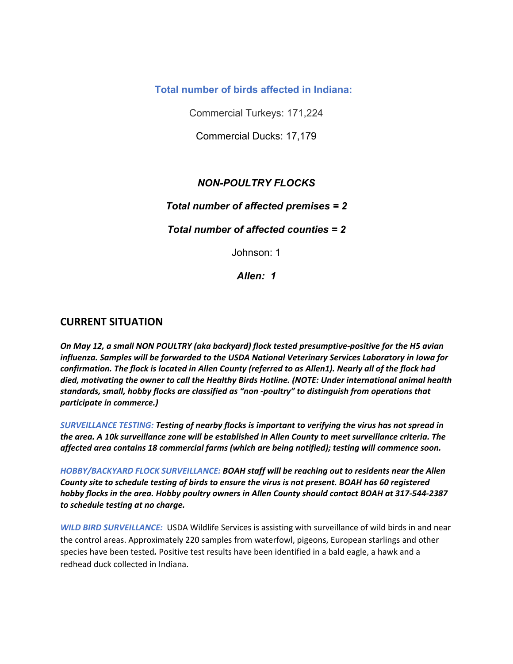**Total number of birds affected in Indiana:** 

Commercial Turkeys: 171,224

Commercial Ducks: 17,179

## *NON-POULTRY FLOCKS*

### *Total number of affected premises = 2*

### *Total number of affected counties = 2*

Johnson: 1

*Allen: 1* 

#### **CURRENT SITUATION**

*On May 12, a small NON POULTRY (aka backyard) flock tested presumptive‐positive for the H5 avian influenza. Samples will be forwarded to the USDA National Veterinary Services Laboratory in Iowa for* confirmation. The flock is located in Allen County (referred to as Allen1). Nearly all of the flock had *died, motivating the owner to call the Healthy Birds Hotline. (NOTE: Under international animal health standards, small, hobby flocks are classified as "non ‐poultry" to distinguish from operations that participate in commerce.)*

*SURVEILLANCE TESTING: Testing of nearby flocks is important to verifying the virus has not spread in the area. A 10k surveillance zone will be established in Allen County to meet surveillance criteria. The affected area contains 18 commercial farms (which are being notified); testing will commence soon.*

*HOBBY/BACKYARD FLOCK SURVEILLANCE: BOAH staff will be reaching out to residents near the Allen* County site to schedule testing of birds to ensure the virus is not present. BOAH has 60 registered hobby flocks in the area. Hobby poultry owners in Allen County should contact BOAH at 317-544-2387 *to schedule testing at no charge.*

*WILD BIRD SURVEILLANCE:* USDA Wildlife Services is assisting with surveillance of wild birds in and near the control areas. Approximately 220 samples from waterfowl, pigeons, European starlings and other species have been tested*.* Positive test results have been identified in a bald eagle, a hawk and a redhead duck collected in Indiana.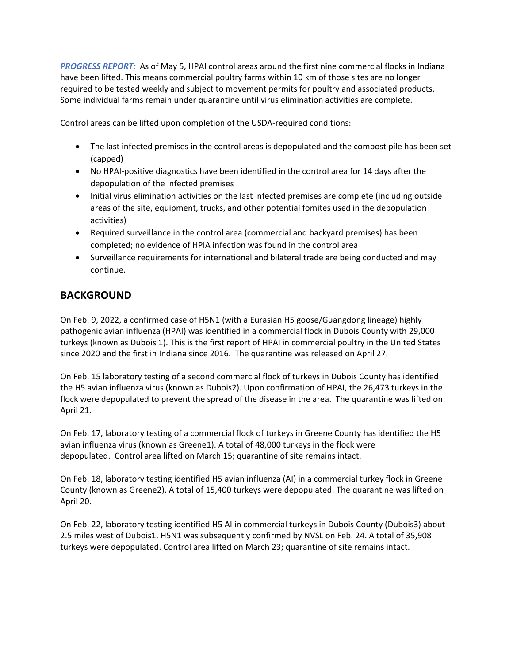*PROGRESS REPORT:* As of May 5, HPAI control areas around the first nine commercial flocks in Indiana have been lifted. This means commercial poultry farms within 10 km of those sites are no longer required to be tested weekly and subject to movement permits for poultry and associated products. Some individual farms remain under quarantine until virus elimination activities are complete.

Control areas can be lifted upon completion of the USDA‐required conditions:

- The last infected premises in the control areas is depopulated and the compost pile has been set (capped)
- No HPAI-positive diagnostics have been identified in the control area for 14 days after the depopulation of the infected premises
- Initial virus elimination activities on the last infected premises are complete (including outside areas of the site, equipment, trucks, and other potential fomites used in the depopulation activities)
- Required surveillance in the control area (commercial and backyard premises) has been completed; no evidence of HPIA infection was found in the control area
- Surveillance requirements for international and bilateral trade are being conducted and may continue.

# **BACKGROUND**

On Feb. 9, 2022, a confirmed case of H5N1 (with a Eurasian H5 goose/Guangdong lineage) highly pathogenic avian influenza (HPAI) was identified in a commercial flock in Dubois County with 29,000 turkeys (known as Dubois 1). This is the first report of HPAI in commercial poultry in the United States since 2020 and the first in Indiana since 2016. The quarantine was released on April 27.

On Feb. 15 laboratory testing of a second commercial flock of turkeys in Dubois County has identified the H5 avian influenza virus (known as Dubois2). Upon confirmation of HPAI, the 26,473 turkeys in the flock were depopulated to prevent the spread of the disease in the area. The quarantine was lifted on April 21.

On Feb. 17, laboratory testing of a commercial flock of turkeys in Greene County has identified the H5 avian influenza virus (known as Greene1). A total of 48,000 turkeys in the flock were depopulated. Control area lifted on March 15; quarantine of site remains intact.

On Feb. 18, laboratory testing identified H5 avian influenza (AI) in a commercial turkey flock in Greene County (known as Greene2). A total of 15,400 turkeys were depopulated. The quarantine was lifted on April 20.

On Feb. 22, laboratory testing identified H5 AI in commercial turkeys in Dubois County (Dubois3) about 2.5 miles west of Dubois1. H5N1 was subsequently confirmed by NVSL on Feb. 24. A total of 35,908 turkeys were depopulated. Control area lifted on March 23; quarantine of site remains intact.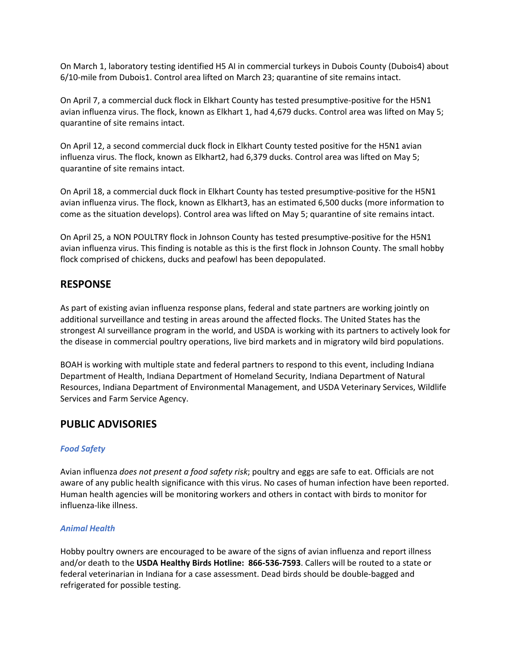On March 1, laboratory testing identified H5 AI in commercial turkeys in Dubois County (Dubois4) about 6/10-mile from Dubois1. Control area lifted on March 23; quarantine of site remains intact.

On April 7, a commercial duck flock in Elkhart County has tested presumptive-positive for the H5N1 avian influenza virus. The flock, known as Elkhart 1, had 4,679 ducks. Control area was lifted on May 5; quarantine of site remains intact.

On April 12, a second commercial duck flock in Elkhart County tested positive for the H5N1 avian influenza virus. The flock, known as Elkhart2, had 6,379 ducks. Control area was lifted on May 5; quarantine of site remains intact.

On April 18, a commercial duck flock in Elkhart County has tested presumptive-positive for the H5N1 avian influenza virus. The flock, known as Elkhart3, has an estimated 6,500 ducks (more information to come as the situation develops). Control area was lifted on May 5; quarantine of site remains intact.

On April 25, a NON POULTRY flock in Johnson County has tested presumptive‐positive for the H5N1 avian influenza virus. This finding is notable as this is the first flock in Johnson County. The small hobby flock comprised of chickens, ducks and peafowl has been depopulated.

### **RESPONSE**

As part of existing avian influenza response plans, federal and state partners are working jointly on additional surveillance and testing in areas around the affected flocks. The United States has the strongest AI surveillance program in the world, and USDA is working with its partners to actively look for the disease in commercial poultry operations, live bird markets and in migratory wild bird populations.

BOAH is working with multiple state and federal partners to respond to this event, including Indiana Department of Health, Indiana Department of Homeland Security, Indiana Department of Natural Resources, Indiana Department of Environmental Management, and USDA Veterinary Services, Wildlife Services and Farm Service Agency.

### **PUBLIC ADVISORIES**

#### *Food Safety*

Avian influenza *does not present a food safety risk*; poultry and eggs are safe to eat. Officials are not aware of any public health significance with this virus. No cases of human infection have been reported. Human health agencies will be monitoring workers and others in contact with birds to monitor for influenza‐like illness.

#### *Animal Health*

Hobby poultry owners are encouraged to be aware of the signs of avian influenza and report illness and/or death to the **USDA Healthy Birds Hotline: 866‐536‐7593**. Callers will be routed to a state or federal veterinarian in Indiana for a case assessment. Dead birds should be double‐bagged and refrigerated for possible testing.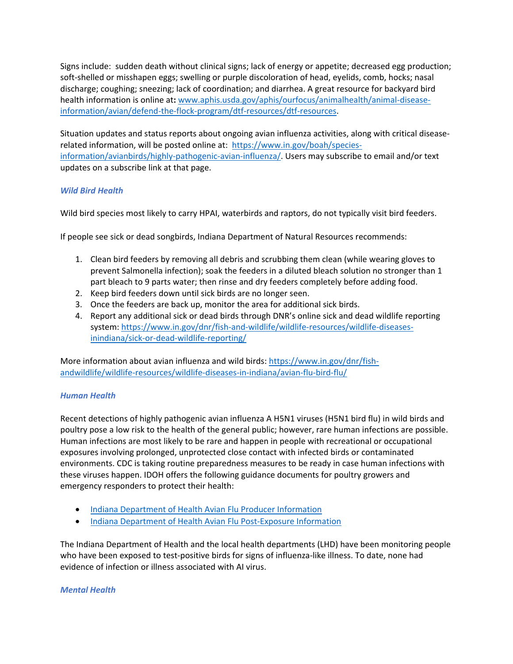Signs include: sudden death without clinical signs; lack of energy or appetite; decreased egg production; soft-shelled or misshapen eggs; swelling or purple discoloration of head, eyelids, comb, hocks; nasal discharge; coughing; sneezing; lack of coordination; and diarrhea. A great resource for backyard bird health information is online at: www.aphis.usda.gov/aphis/ourfocus/animalhealth/animal-diseaseinformation/avian/defend‐the‐flock‐program/dtf‐resources/dtf‐resources.

Situation updates and status reports about ongoing avian influenza activities, along with critical disease‐ related information, will be posted online at: https://www.in.gov/boah/species‐ information/avianbirds/highly-pathogenic-avian-influenza/. Users may subscribe to email and/or text updates on a subscribe link at that page.

#### *Wild Bird Health*

Wild bird species most likely to carry HPAI, waterbirds and raptors, do not typically visit bird feeders.

If people see sick or dead songbirds, Indiana Department of Natural Resources recommends:

- 1. Clean bird feeders by removing all debris and scrubbing them clean (while wearing gloves to prevent Salmonella infection); soak the feeders in a diluted bleach solution no stronger than 1 part bleach to 9 parts water; then rinse and dry feeders completely before adding food.
- 2. Keep bird feeders down until sick birds are no longer seen.
- 3. Once the feeders are back up, monitor the area for additional sick birds.
- 4. Report any additional sick or dead birds through DNR's online sick and dead wildlife reporting system: https://www.in.gov/dnr/fish-and-wildlife/wildlife-resources/wildlife-diseasesinindiana/sick‐or‐dead‐wildlife‐reporting/

More information about avian influenza and wild birds: https://www.in.gov/dnr/fishandwildlife/wildlife-resources/wildlife-diseases-in-indiana/avian-flu-bird-flu/

#### *Human Health*

Recent detections of highly pathogenic avian influenza A H5N1 viruses (H5N1 bird flu) in wild birds and poultry pose a low risk to the health of the general public; however, rare human infections are possible. Human infections are most likely to be rare and happen in people with recreational or occupational exposures involving prolonged, unprotected close contact with infected birds or contaminated environments. CDC is taking routine preparedness measures to be ready in case human infections with these viruses happen. IDOH offers the following guidance documents for poultry growers and emergency responders to protect their health:

- Indiana Department of Health Avian Flu Producer Information
- Indiana Department of Health Avian Flu Post-Exposure Information

The Indiana Department of Health and the local health departments (LHD) have been monitoring people who have been exposed to test-positive birds for signs of influenza-like illness. To date, none had evidence of infection or illness associated with AI virus.

#### *Mental Health*